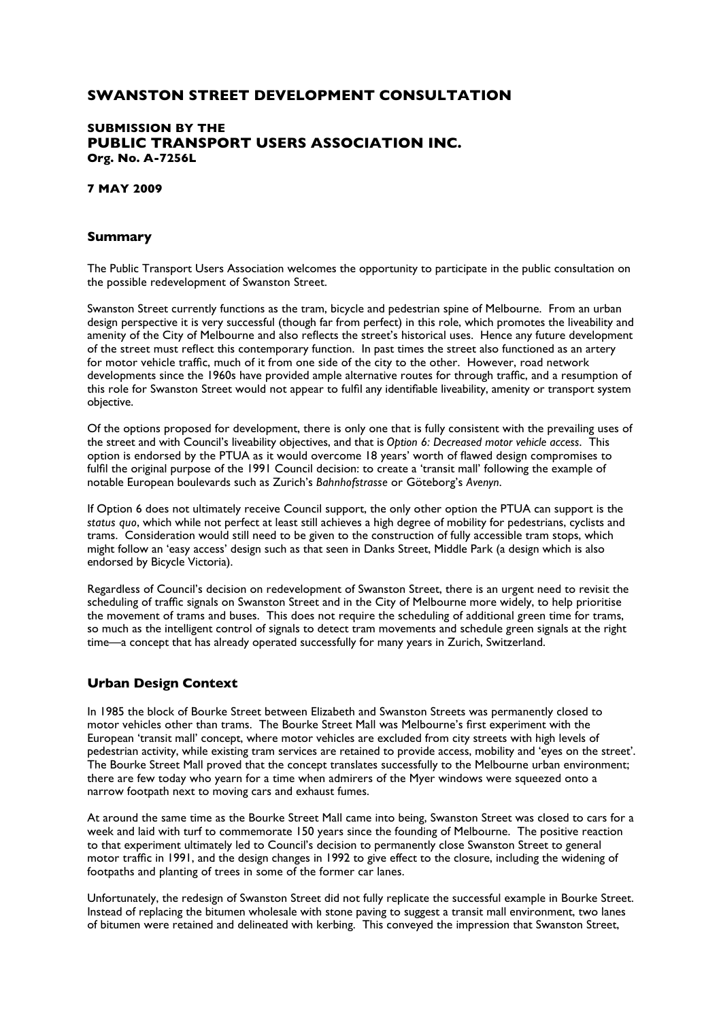# **SWANSTON STREET DEVELOPMENT CONSULTATION**

## **SUBMISSION BY THE PUBLIC TRANSPORT USERS ASSOCIATION INC. Org. No. A-7256L**

### **7 MAY 2009**

### **Summary**

The Public Transport Users Association welcomes the opportunity to participate in the public consultation on the possible redevelopment of Swanston Street.

Swanston Street currently functions as the tram, bicycle and pedestrian spine of Melbourne. From an urban design perspective it is very successful (though far from perfect) in this role, which promotes the liveability and amenity of the City of Melbourne and also reflects the street's historical uses. Hence any future development of the street must reflect this contemporary function. In past times the street also functioned as an artery for motor vehicle traffic, much of it from one side of the city to the other. However, road network developments since the 1960s have provided ample alternative routes for through traffic, and a resumption of this role for Swanston Street would not appear to fulfil any identifiable liveability, amenity or transport system objective.

Of the options proposed for development, there is only one that is fully consistent with the prevailing uses of the street and with Council's liveability objectives, and that is *Option 6: Decreased motor vehicle access*. This option is endorsed by the PTUA as it would overcome 18 years' worth of flawed design compromises to fulfil the original purpose of the 1991 Council decision: to create a 'transit mall' following the example of notable European boulevards such as Zurich's *Bahnhofstrasse* or Göteborg's *Avenyn*.

If Option 6 does not ultimately receive Council support, the only other option the PTUA can support is the *status quo*, which while not perfect at least still achieves a high degree of mobility for pedestrians, cyclists and trams. Consideration would still need to be given to the construction of fully accessible tram stops, which might follow an 'easy access' design such as that seen in Danks Street, Middle Park (a design which is also endorsed by Bicycle Victoria).

Regardless of Council's decision on redevelopment of Swanston Street, there is an urgent need to revisit the scheduling of traffic signals on Swanston Street and in the City of Melbourne more widely, to help prioritise the movement of trams and buses. This does not require the scheduling of additional green time for trams, so much as the intelligent control of signals to detect tram movements and schedule green signals at the right time—a concept that has already operated successfully for many years in Zurich, Switzerland.

## **Urban Design Context**

In 1985 the block of Bourke Street between Elizabeth and Swanston Streets was permanently closed to motor vehicles other than trams. The Bourke Street Mall was Melbourne's first experiment with the European 'transit mall' concept, where motor vehicles are excluded from city streets with high levels of pedestrian activity, while existing tram services are retained to provide access, mobility and 'eyes on the street'. The Bourke Street Mall proved that the concept translates successfully to the Melbourne urban environment; there are few today who yearn for a time when admirers of the Myer windows were squeezed onto a narrow footpath next to moving cars and exhaust fumes.

At around the same time as the Bourke Street Mall came into being, Swanston Street was closed to cars for a week and laid with turf to commemorate 150 years since the founding of Melbourne. The positive reaction to that experiment ultimately led to Council's decision to permanently close Swanston Street to general motor traffic in 1991, and the design changes in 1992 to give effect to the closure, including the widening of footpaths and planting of trees in some of the former car lanes.

Unfortunately, the redesign of Swanston Street did not fully replicate the successful example in Bourke Street. Instead of replacing the bitumen wholesale with stone paving to suggest a transit mall environment, two lanes of bitumen were retained and delineated with kerbing. This conveyed the impression that Swanston Street,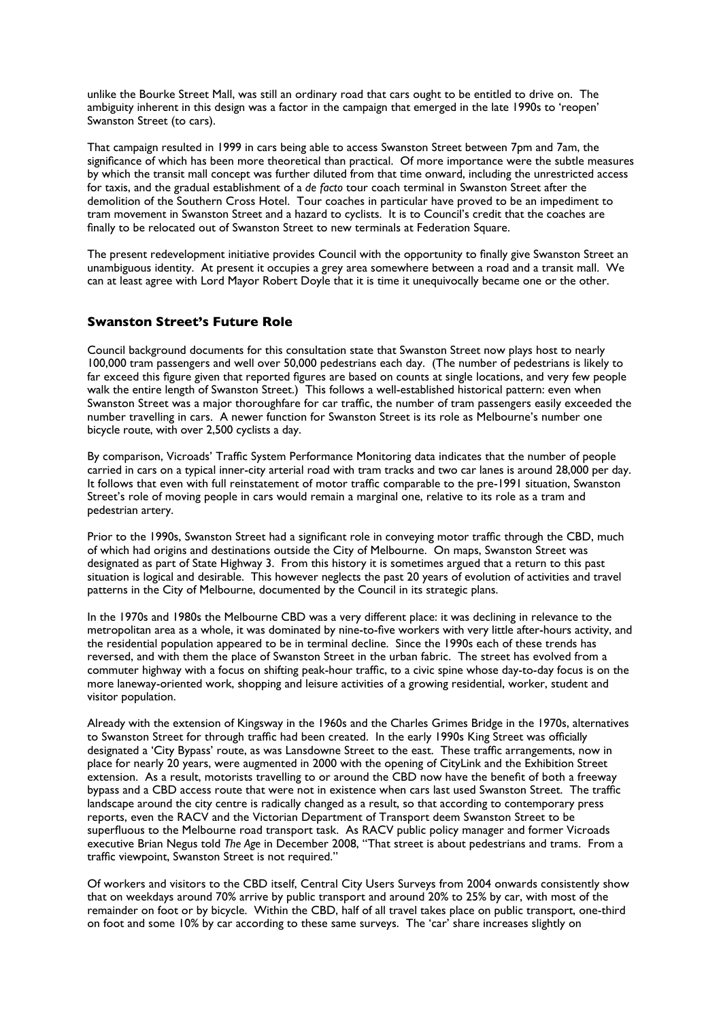unlike the Bourke Street Mall, was still an ordinary road that cars ought to be entitled to drive on. The ambiguity inherent in this design was a factor in the campaign that emerged in the late 1990s to 'reopen' Swanston Street (to cars).

That campaign resulted in 1999 in cars being able to access Swanston Street between 7pm and 7am, the significance of which has been more theoretical than practical. Of more importance were the subtle measures by which the transit mall concept was further diluted from that time onward, including the unrestricted access for taxis, and the gradual establishment of a *de facto* tour coach terminal in Swanston Street after the demolition of the Southern Cross Hotel. Tour coaches in particular have proved to be an impediment to tram movement in Swanston Street and a hazard to cyclists. It is to Council's credit that the coaches are finally to be relocated out of Swanston Street to new terminals at Federation Square.

The present redevelopment initiative provides Council with the opportunity to finally give Swanston Street an unambiguous identity. At present it occupies a grey area somewhere between a road and a transit mall. We can at least agree with Lord Mayor Robert Doyle that it is time it unequivocally became one or the other.

### **Swanston Street's Future Role**

Council background documents for this consultation state that Swanston Street now plays host to nearly 100,000 tram passengers and well over 50,000 pedestrians each day. (The number of pedestrians is likely to far exceed this figure given that reported figures are based on counts at single locations, and very few people walk the entire length of Swanston Street.) This follows a well-established historical pattern: even when Swanston Street was a major thoroughfare for car traffic, the number of tram passengers easily exceeded the number travelling in cars. A newer function for Swanston Street is its role as Melbourne's number one bicycle route, with over 2,500 cyclists a day.

By comparison, Vicroads' Traffic System Performance Monitoring data indicates that the number of people carried in cars on a typical inner-city arterial road with tram tracks and two car lanes is around 28,000 per day. It follows that even with full reinstatement of motor traffic comparable to the pre-1991 situation, Swanston Street's role of moving people in cars would remain a marginal one, relative to its role as a tram and pedestrian artery.

Prior to the 1990s, Swanston Street had a significant role in conveying motor traffic through the CBD, much of which had origins and destinations outside the City of Melbourne. On maps, Swanston Street was designated as part of State Highway 3. From this history it is sometimes argued that a return to this past situation is logical and desirable. This however neglects the past 20 years of evolution of activities and travel patterns in the City of Melbourne, documented by the Council in its strategic plans.

In the 1970s and 1980s the Melbourne CBD was a very different place: it was declining in relevance to the metropolitan area as a whole, it was dominated by nine-to-five workers with very little after-hours activity, and the residential population appeared to be in terminal decline. Since the 1990s each of these trends has reversed, and with them the place of Swanston Street in the urban fabric. The street has evolved from a commuter highway with a focus on shifting peak-hour traffic, to a civic spine whose day-to-day focus is on the more laneway-oriented work, shopping and leisure activities of a growing residential, worker, student and visitor population.

Already with the extension of Kingsway in the 1960s and the Charles Grimes Bridge in the 1970s, alternatives to Swanston Street for through traffic had been created. In the early 1990s King Street was officially designated a 'City Bypass' route, as was Lansdowne Street to the east. These traffic arrangements, now in place for nearly 20 years, were augmented in 2000 with the opening of CityLink and the Exhibition Street extension. As a result, motorists travelling to or around the CBD now have the benefit of both a freeway bypass and a CBD access route that were not in existence when cars last used Swanston Street. The traffic landscape around the city centre is radically changed as a result, so that according to contemporary press reports, even the RACV and the Victorian Department of Transport deem Swanston Street to be superfluous to the Melbourne road transport task. As RACV public policy manager and former Vicroads executive Brian Negus told *The Age* in December 2008, "That street is about pedestrians and trams. From a traffic viewpoint, Swanston Street is not required."

Of workers and visitors to the CBD itself, Central City Users Surveys from 2004 onwards consistently show that on weekdays around 70% arrive by public transport and around 20% to 25% by car, with most of the remainder on foot or by bicycle. Within the CBD, half of all travel takes place on public transport, one-third on foot and some 10% by car according to these same surveys. The 'car' share increases slightly on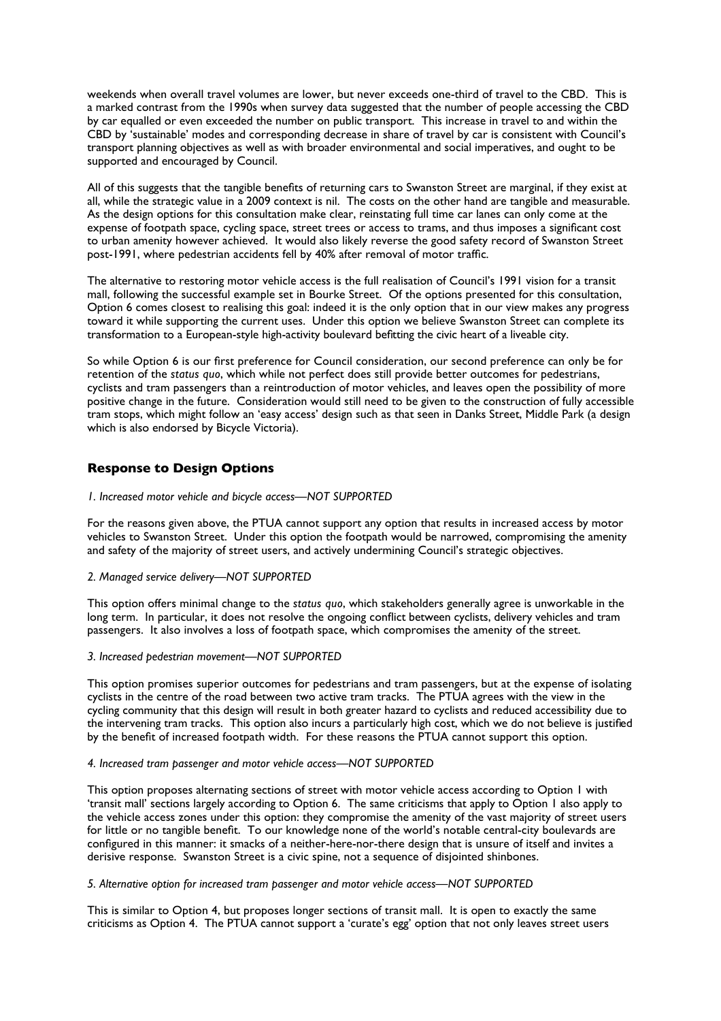weekends when overall travel volumes are lower, but never exceeds one-third of travel to the CBD. This is a marked contrast from the 1990s when survey data suggested that the number of people accessing the CBD by car equalled or even exceeded the number on public transport. This increase in travel to and within the CBD by 'sustainable' modes and corresponding decrease in share of travel by car is consistent with Council's transport planning objectives as well as with broader environmental and social imperatives, and ought to be supported and encouraged by Council.

All of this suggests that the tangible benefits of returning cars to Swanston Street are marginal, if they exist at all, while the strategic value in a 2009 context is nil. The costs on the other hand are tangible and measurable. As the design options for this consultation make clear, reinstating full time car lanes can only come at the expense of footpath space, cycling space, street trees or access to trams, and thus imposes a significant cost to urban amenity however achieved. It would also likely reverse the good safety record of Swanston Street post-1991, where pedestrian accidents fell by 40% after removal of motor traffic.

The alternative to restoring motor vehicle access is the full realisation of Council's 1991 vision for a transit mall, following the successful example set in Bourke Street. Of the options presented for this consultation, Option 6 comes closest to realising this goal: indeed it is the only option that in our view makes any progress toward it while supporting the current uses. Under this option we believe Swanston Street can complete its transformation to a European-style high-activity boulevard befitting the civic heart of a liveable city.

So while Option 6 is our first preference for Council consideration, our second preference can only be for retention of the *status quo*, which while not perfect does still provide better outcomes for pedestrians, cyclists and tram passengers than a reintroduction of motor vehicles, and leaves open the possibility of more positive change in the future. Consideration would still need to be given to the construction of fully accessible tram stops, which might follow an 'easy access' design such as that seen in Danks Street, Middle Park (a design which is also endorsed by Bicycle Victoria).

## **Response to Design Options**

#### *1. Increased motor vehicle and bicycle access—NOT SUPPORTED*

For the reasons given above, the PTUA cannot support any option that results in increased access by motor vehicles to Swanston Street. Under this option the footpath would be narrowed, compromising the amenity and safety of the majority of street users, and actively undermining Council's strategic objectives.

#### *2. Managed service delivery—NOT SUPPORTED*

This option offers minimal change to the *status quo*, which stakeholders generally agree is unworkable in the long term. In particular, it does not resolve the ongoing conflict between cyclists, delivery vehicles and tram passengers. It also involves a loss of footpath space, which compromises the amenity of the street.

#### *3. Increased pedestrian movement—NOT SUPPORTED*

This option promises superior outcomes for pedestrians and tram passengers, but at the expense of isolating cyclists in the centre of the road between two active tram tracks. The PTUA agrees with the view in the cycling community that this design will result in both greater hazard to cyclists and reduced accessibility due to the intervening tram tracks. This option also incurs a particularly high cost, which we do not believe is justified by the benefit of increased footpath width. For these reasons the PTUA cannot support this option.

#### *4. Increased tram passenger and motor vehicle access—NOT SUPPORTED*

This option proposes alternating sections of street with motor vehicle access according to Option 1 with 'transit mall' sections largely according to Option 6. The same criticisms that apply to Option 1 also apply to the vehicle access zones under this option: they compromise the amenity of the vast majority of street users for little or no tangible benefit. To our knowledge none of the world's notable central-city boulevards are configured in this manner: it smacks of a neither-here-nor-there design that is unsure of itself and invites a derisive response. Swanston Street is a civic spine, not a sequence of disjointed shinbones.

### *5. Alternative option for increased tram passenger and motor vehicle access—NOT SUPPORTED*

This is similar to Option 4, but proposes longer sections of transit mall. It is open to exactly the same criticisms as Option 4. The PTUA cannot support a 'curate's egg' option that not only leaves street users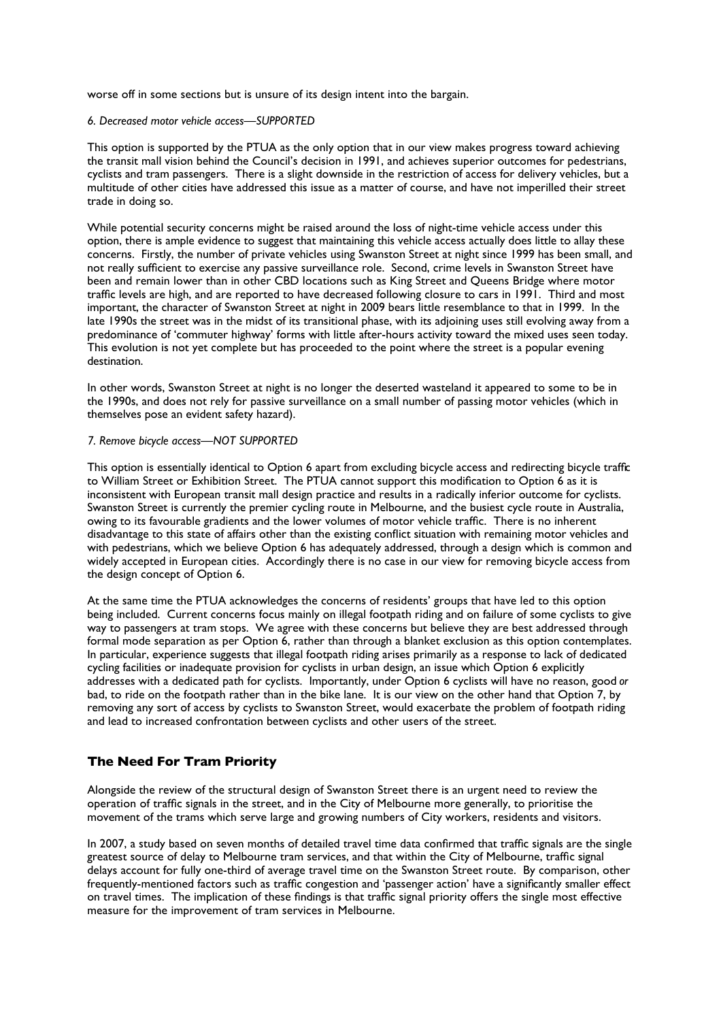worse off in some sections but is unsure of its design intent into the bargain.

### *6. Decreased motor vehicle access—SUPPORTED*

This option is supported by the PTUA as the only option that in our view makes progress toward achieving the transit mall vision behind the Council's decision in 1991, and achieves superior outcomes for pedestrians, cyclists and tram passengers. There is a slight downside in the restriction of access for delivery vehicles, but a multitude of other cities have addressed this issue as a matter of course, and have not imperilled their street trade in doing so.

While potential security concerns might be raised around the loss of night-time vehicle access under this option, there is ample evidence to suggest that maintaining this vehicle access actually does little to allay these concerns. Firstly, the number of private vehicles using Swanston Street at night since 1999 has been small, and not really sufficient to exercise any passive surveillance role. Second, crime levels in Swanston Street have been and remain lower than in other CBD locations such as King Street and Queens Bridge where motor traffic levels are high, and are reported to have decreased following closure to cars in 1991. Third and most important, the character of Swanston Street at night in 2009 bears little resemblance to that in 1999. In the late 1990s the street was in the midst of its transitional phase, with its adjoining uses still evolving away from a predominance of 'commuter highway' forms with little after-hours activity toward the mixed uses seen today. This evolution is not yet complete but has proceeded to the point where the street is a popular evening destination.

In other words, Swanston Street at night is no longer the deserted wasteland it appeared to some to be in the 1990s, and does not rely for passive surveillance on a small number of passing motor vehicles (which in themselves pose an evident safety hazard).

### *7. Remove bicycle access—NOT SUPPORTED*

This option is essentially identical to Option 6 apart from excluding bicycle access and redirecting bicycle traffic to William Street or Exhibition Street. The PTUA cannot support this modification to Option 6 as it is inconsistent with European transit mall design practice and results in a radically inferior outcome for cyclists. Swanston Street is currently the premier cycling route in Melbourne, and the busiest cycle route in Australia, owing to its favourable gradients and the lower volumes of motor vehicle traffic. There is no inherent disadvantage to this state of affairs other than the existing conflict situation with remaining motor vehicles and with pedestrians, which we believe Option 6 has adequately addressed, through a design which is common and widely accepted in European cities. Accordingly there is no case in our view for removing bicycle access from the design concept of Option 6.

At the same time the PTUA acknowledges the concerns of residents' groups that have led to this option being included. Current concerns focus mainly on illegal footpath riding and on failure of some cyclists to give way to passengers at tram stops. We agree with these concerns but believe they are best addressed through formal mode separation as per Option 6, rather than through a blanket exclusion as this option contemplates. In particular, experience suggests that illegal footpath riding arises primarily as a response to lack of dedicated cycling facilities or inadequate provision for cyclists in urban design, an issue which Option 6 explicitly addresses with a dedicated path for cyclists. Importantly, under Option 6 cyclists will have no reason, good *or* bad, to ride on the footpath rather than in the bike lane. It is our view on the other hand that Option 7, by removing any sort of access by cyclists to Swanston Street, would exacerbate the problem of footpath riding and lead to increased confrontation between cyclists and other users of the street.

## **The Need For Tram Priority**

Alongside the review of the structural design of Swanston Street there is an urgent need to review the operation of traffic signals in the street, and in the City of Melbourne more generally, to prioritise the movement of the trams which serve large and growing numbers of City workers, residents and visitors.

In 2007, a study based on seven months of detailed travel time data confirmed that traffic signals are the single greatest source of delay to Melbourne tram services, and that within the City of Melbourne, traffic signal delays account for fully one-third of average travel time on the Swanston Street route. By comparison, other frequently-mentioned factors such as traffic congestion and 'passenger action' have a significantly smaller effect on travel times. The implication of these findings is that traffic signal priority offers the single most effective measure for the improvement of tram services in Melbourne.